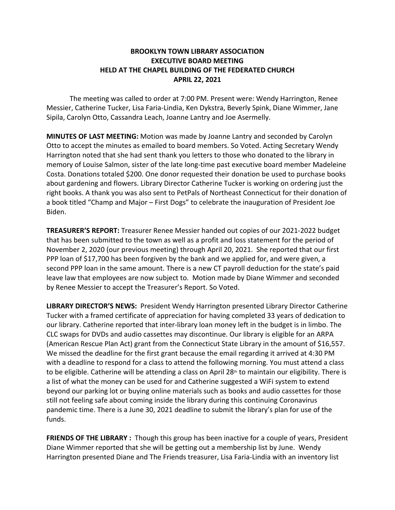## **BROOKLYN TOWN LIBRARY ASSOCIATION EXECUTIVE BOARD MEETING HELD AT THE CHAPEL BUILDING OF THE FEDERATED CHURCH APRIL 22, 2021**

The meeting was called to order at 7:00 PM. Present were: Wendy Harrington, Renee Messier, Catherine Tucker, Lisa Faria-Lindia, Ken Dykstra, Beverly Spink, Diane Wimmer, Jane Sipila, Carolyn Otto, Cassandra Leach, Joanne Lantry and Joe Asermelly.

**MINUTES OF LAST MEETING:** Motion was made by Joanne Lantry and seconded by Carolyn Otto to accept the minutes as emailed to board members. So Voted. Acting Secretary Wendy Harrington noted that she had sent thank you letters to those who donated to the library in memory of Louise Salmon, sister of the late long-time past executive board member Madeleine Costa. Donations totaled \$200. One donor requested their donation be used to purchase books about gardening and flowers. Library Director Catherine Tucker is working on ordering just the right books. A thank you was also sent to PetPals of Northeast Connecticut for their donation of a book titled "Champ and Major – First Dogs" to celebrate the inauguration of President Joe Biden.

**TREASURER'S REPORT:** Treasurer Renee Messier handed out copies of our 2021-2022 budget that has been submitted to the town as well as a profit and loss statement for the period of November 2, 2020 (our previous meeting) through April 20, 2021. She reported that our first PPP loan of \$17,700 has been forgiven by the bank and we applied for, and were given, a second PPP loan in the same amount. There is a new CT payroll deduction for the state's paid leave law that employees are now subject to. Motion made by Diane Wimmer and seconded by Renee Messier to accept the Treasurer's Report. So Voted.

**LIBRARY DIRECTOR'S NEWS:** President Wendy Harrington presented Library Director Catherine Tucker with a framed certificate of appreciation for having completed 33 years of dedication to our library. Catherine reported that inter-library loan money left in the budget is in limbo. The CLC swaps for DVDs and audio cassettes may discontinue. Our library is eligible for an ARPA (American Rescue Plan Act) grant from the Connecticut State Library in the amount of \$16,557. We missed the deadline for the first grant because the email regarding it arrived at 4:30 PM with a deadline to respond for a class to attend the following morning. You must attend a class to be eligible. Catherine will be attending a class on April 28<sup>th</sup> to maintain our eligibility. There is a list of what the money can be used for and Catherine suggested a WiFi system to extend beyond our parking lot or buying online materials such as books and audio cassettes for those still not feeling safe about coming inside the library during this continuing Coronavirus pandemic time. There is a June 30, 2021 deadline to submit the library's plan for use of the funds.

**FRIENDS OF THE LIBRARY :** Though this group has been inactive for a couple of years, President Diane Wimmer reported that she will be getting out a membership list by June. Wendy Harrington presented Diane and The Friends treasurer, Lisa Faria-Lindia with an inventory list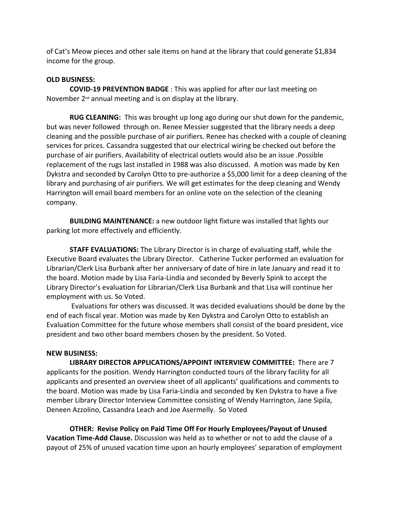of Cat's Meow pieces and other sale items on hand at the library that could generate \$1,834 income for the group.

## **OLD BUSINESS:**

**COVID-19 PREVENTION BADGE** : This was applied for after our last meeting on November  $2<sup>nd</sup>$  annual meeting and is on display at the library.

**RUG CLEANING:** This was brought up long ago during our shut down for the pandemic, but was never followed through on. Renee Messier suggested that the library needs a deep cleaning and the possible purchase of air purifiers. Renee has checked with a couple of cleaning services for prices. Cassandra suggested that our electrical wiring be checked out before the purchase of air purifiers. Availability of electrical outlets would also be an issue .Possible replacement of the rugs last installed in 1988 was also discussed. A motion was made by Ken Dykstra and seconded by Carolyn Otto to pre-authorize a \$5,000 limit for a deep cleaning of the library and purchasing of air purifiers. We will get estimates for the deep cleaning and Wendy Harrington will email board members for an online vote on the selection of the cleaning company.

**BUILDING MAINTENANCE:** a new outdoor light fixture was installed that lights our parking lot more effectively and efficiently.

**STAFF EVALUATIONS:** The Library Director is in charge of evaluating staff, while the Executive Board evaluates the Library Director. Catherine Tucker performed an evaluation for Librarian/Clerk Lisa Burbank after her anniversary of date of hire in late January and read it to the board. Motion made by Lisa Faria-Lindia and seconded by Beverly Spink to accept the Library Director's evaluation for Librarian/Clerk Lisa Burbank and that Lisa will continue her employment with us. So Voted.

 Evaluations for others was discussed. It was decided evaluations should be done by the end of each fiscal year. Motion was made by Ken Dykstra and Carolyn Otto to establish an Evaluation Committee for the future whose members shall consist of the board president, vice president and two other board members chosen by the president. So Voted.

## **NEW BUSINESS:**

**LIBRARY DIRECTOR APPLICATIONS/APPOINT INTERVIEW COMMITTEE:** There are 7 applicants for the position. Wendy Harrington conducted tours of the library facility for all applicants and presented an overview sheet of all applicants' qualifications and comments to the board. Motion was made by Lisa Faria-Lindia and seconded by Ken Dykstra to have a five member Library Director Interview Committee consisting of Wendy Harrington, Jane Sipila, Deneen Azzolino, Cassandra Leach and Joe Asermelly. So Voted

**OTHER: Revise Policy on Paid Time Off For Hourly Employees/Payout of Unused Vacation Time-Add Clause.** Discussion was held as to whether or not to add the clause of a payout of 25% of unused vacation time upon an hourly employees' separation of employment